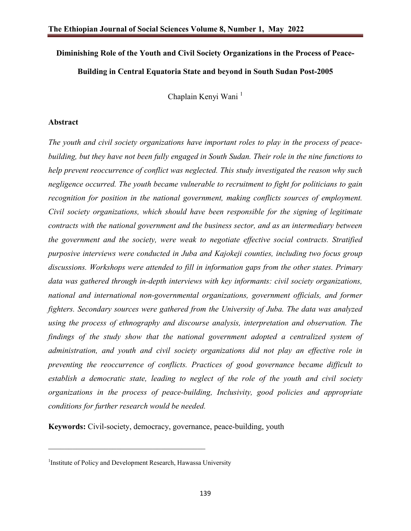## **Diminishing Role of the Youth and Civil Society Organizations in the Process of Peace-**

## **Building in Central Equatoria State and beyond in South Sudan Post-2005**

Chaplain Kenyi Wani<sup>1</sup>

#### **Abstract**

*The youth and civil society organizations have important roles to play in the process of peacebuilding, but they have not been fully engaged in South Sudan. Their role in the nine functions to help prevent reoccurrence of conflict was neglected. This study investigated the reason why such negligence occurred. The youth became vulnerable to recruitment to fight for politicians to gain recognition for position in the national government, making conflicts sources of employment. Civil society organizations, which should have been responsible for the signing of legitimate contracts with the national government and the business sector, and as an intermediary between the government and the society, were weak to negotiate effective social contracts. Stratified purposive interviews were conducted in Juba and Kajokeji counties, including two focus group discussions. Workshops were attended to fill in information gaps from the other states. Primary data was gathered through in-depth interviews with key informants: civil society organizations, national and international non-governmental organizations, government officials, and former fighters. Secondary sources were gathered from the University of Juba. The data was analyzed using the process of ethnography and discourse analysis, interpretation and observation. The findings of the study show that the national government adopted a centralized system of administration, and youth and civil society organizations did not play an effective role in preventing the reoccurrence of conflicts. Practices of good governance became difficult to establish a democratic state, leading to neglect of the role of the youth and civil society organizations in the process of peace-building, Inclusivity, good policies and appropriate conditions for further research would be needed.*

**Keywords:** Civil-society, democracy, governance, peace-building, youth

\_\_\_\_\_\_\_\_\_\_\_\_\_\_\_\_\_\_\_\_\_\_\_\_\_\_\_\_\_\_\_\_\_\_\_\_\_\_\_

<sup>&</sup>lt;sup>1</sup>Institute of Policy and Development Research, Hawassa University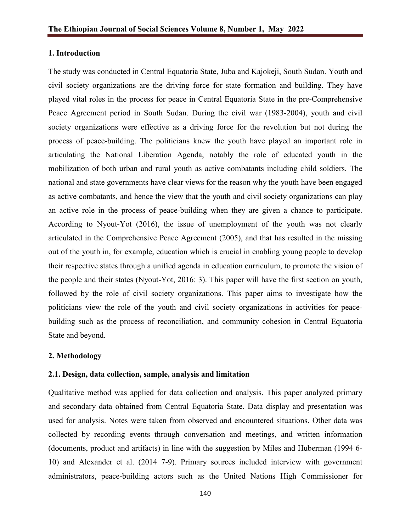#### **1. Introduction**

The study was conducted in Central Equatoria State, Juba and Kajokeji, South Sudan. Youth and civil society organizations are the driving force for state formation and building. They have played vital roles in the process for peace in Central Equatoria State in the pre-Comprehensive Peace Agreement period in South Sudan. During the civil war (1983-2004), youth and civil society organizations were effective as a driving force for the revolution but not during the process of peace-building. The politicians knew the youth have played an important role in articulating the National Liberation Agenda, notably the role of educated youth in the mobilization of both urban and rural youth as active combatants including child soldiers. The national and state governments have clear views for the reason why the youth have been engaged as active combatants, and hence the view that the youth and civil society organizations can play an active role in the process of peace-building when they are given a chance to participate. According to Nyout-Yot (2016), the issue of unemployment of the youth was not clearly articulated in the Comprehensive Peace Agreement (2005), and that has resulted in the missing out of the youth in, for example, education which is crucial in enabling young people to develop their respective states through a unified agenda in education curriculum, to promote the vision of the people and their states (Nyout-Yot, 2016: 3). This paper will have the first section on youth, followed by the role of civil society organizations. This paper aims to investigate how the politicians view the role of the youth and civil society organizations in activities for peacebuilding such as the process of reconciliation, and community cohesion in Central Equatoria State and beyond.

#### **2. Methodology**

#### **2.1. Design, data collection, sample, analysis and limitation**

Qualitative method was applied for data collection and analysis. This paper analyzed primary and secondary data obtained from Central Equatoria State. Data display and presentation was used for analysis. Notes were taken from observed and encountered situations. Other data was collected by recording events through conversation and meetings, and written information (documents, product and artifacts) in line with the suggestion by Miles and Huberman (1994 6- 10) and Alexander et al. (2014 7-9). Primary sources included interview with government administrators, peace-building actors such as the United Nations High Commissioner for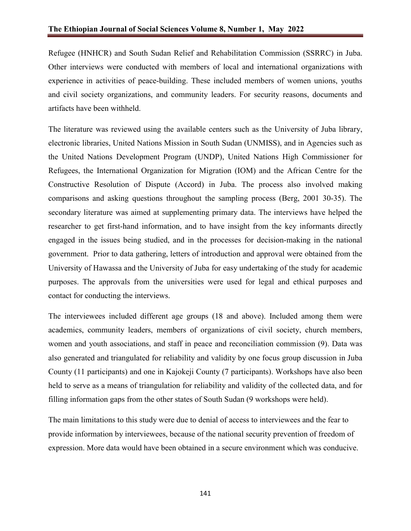Refugee (HNHCR) and South Sudan Relief and Rehabilitation Commission (SSRRC) in Juba. Other interviews were conducted with members of local and international organizations with experience in activities of peace-building. These included members of women unions, youths and civil society organizations, and community leaders. For security reasons, documents and artifacts have been withheld.

The literature was reviewed using the available centers such as the University of Juba library, electronic libraries, United Nations Mission in South Sudan (UNMISS), and in Agencies such as the United Nations Development Program (UNDP), United Nations High Commissioner for Refugees, the International Organization for Migration (IOM) and the African Centre for the Constructive Resolution of Dispute (Accord) in Juba. The process also involved making comparisons and asking questions throughout the sampling process (Berg, 2001 30-35). The secondary literature was aimed at supplementing primary data. The interviews have helped the researcher to get first-hand information, and to have insight from the key informants directly engaged in the issues being studied, and in the processes for decision-making in the national government. Prior to data gathering, letters of introduction and approval were obtained from the University of Hawassa and the University of Juba for easy undertaking of the study for academic purposes. The approvals from the universities were used for legal and ethical purposes and contact for conducting the interviews.

The interviewees included different age groups (18 and above). Included among them were academics, community leaders, members of organizations of civil society, church members, women and youth associations, and staff in peace and reconciliation commission (9). Data was also generated and triangulated for reliability and validity by one focus group discussion in Juba County (11 participants) and one in Kajokeji County (7 participants). Workshops have also been held to serve as a means of triangulation for reliability and validity of the collected data, and for filling information gaps from the other states of South Sudan (9 workshops were held).

The main limitations to this study were due to denial of access to interviewees and the fear to provide information by interviewees, because of the national security prevention of freedom of expression. More data would have been obtained in a secure environment which was conducive.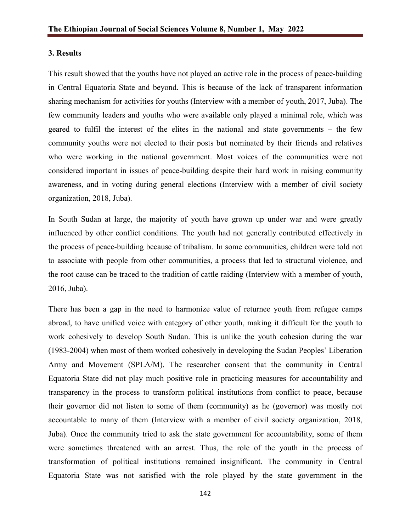#### **3. Results**

This result showed that the youths have not played an active role in the process of peace-building in Central Equatoria State and beyond. This is because of the lack of transparent information sharing mechanism for activities for youths (Interview with a member of youth, 2017, Juba). The few community leaders and youths who were available only played a minimal role, which was geared to fulfil the interest of the elites in the national and state governments – the few community youths were not elected to their posts but nominated by their friends and relatives who were working in the national government. Most voices of the communities were not considered important in issues of peace-building despite their hard work in raising community awareness, and in voting during general elections (Interview with a member of civil society organization, 2018, Juba).

In South Sudan at large, the majority of youth have grown up under war and were greatly influenced by other conflict conditions. The youth had not generally contributed effectively in the process of peace-building because of tribalism. In some communities, children were told not to associate with people from other communities, a process that led to structural violence, and the root cause can be traced to the tradition of cattle raiding (Interview with a member of youth, 2016, Juba).

There has been a gap in the need to harmonize value of returnee youth from refugee camps abroad, to have unified voice with category of other youth, making it difficult for the youth to work cohesively to develop South Sudan. This is unlike the youth cohesion during the war (1983-2004) when most of them worked cohesively in developing the Sudan Peoples' Liberation Army and Movement (SPLA/M). The researcher consent that the community in Central Equatoria State did not play much positive role in practicing measures for accountability and transparency in the process to transform political institutions from conflict to peace, because their governor did not listen to some of them (community) as he (governor) was mostly not accountable to many of them (Interview with a member of civil society organization, 2018, Juba). Once the community tried to ask the state government for accountability, some of them were sometimes threatened with an arrest. Thus, the role of the youth in the process of transformation of political institutions remained insignificant. The community in Central Equatoria State was not satisfied with the role played by the state government in the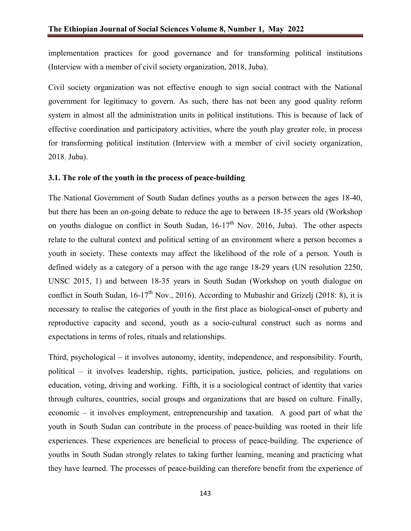implementation practices for good governance and for transforming political institutions (Interview with a member of civil society organization, 2018, Juba).

Civil society organization was not effective enough to sign social contract with the National government for legitimacy to govern. As such, there has not been any good quality reform system in almost all the administration units in political institutions. This is because of lack of effective coordination and participatory activities, where the youth play greater role, in process for transforming political institution (Interview with a member of civil society organization, 2018, Juba).

#### **3.1. The role of the youth in the process of peace-building**

The National Government of South Sudan defines youths as a person between the ages 18-40, but there has been an on-going debate to reduce the age to between 18-35 years old (Workshop on youths dialogue on conflict in South Sudan,  $16-17<sup>th</sup>$  Nov. 2016, Juba). The other aspects relate to the cultural context and political setting of an environment where a person becomes a youth in society. These contexts may affect the likelihood of the role of a person. Youth is defined widely as a category of a person with the age range 18-29 years (UN resolution 2250, UNSC 2015, 1) and between 18-35 years in South Sudan (Workshop on youth dialogue on conflict in South Sudan,  $16-17^{th}$  Nov., 2016). According to Mubashir and Grizelj (2018: 8), it is necessary to realise the categories of youth in the first place as biological-onset of puberty and reproductive capacity and second, youth as a socio-cultural construct such as norms and expectations in terms of roles, rituals and relationships.

Third, psychological – it involves autonomy, identity, independence, and responsibility. Fourth, political – it involves leadership, rights, participation, justice, policies, and regulations on education, voting, driving and working. Fifth, it is a sociological contract of identity that varies through cultures, countries, social groups and organizations that are based on culture. Finally, economic – it involves employment, entrepreneurship and taxation. A good part of what the youth in South Sudan can contribute in the process of peace-building was rooted in their life experiences. These experiences are beneficial to process of peace-building. The experience of youths in South Sudan strongly relates to taking further learning, meaning and practicing what they have learned. The processes of peace-building can therefore benefit from the experience of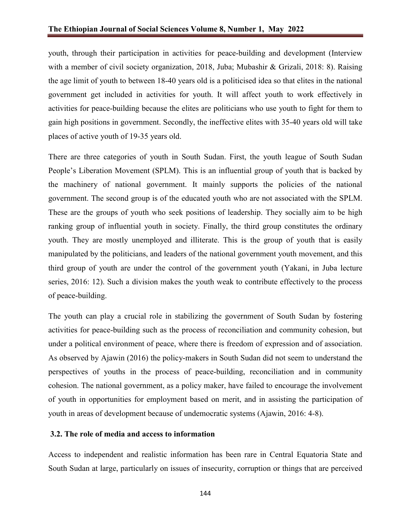youth, through their participation in activities for peace-building and development (Interview with a member of civil society organization, 2018, Juba; Mubashir & Grizali, 2018: 8). Raising the age limit of youth to between 18-40 years old is a politicised idea so that elites in the national government get included in activities for youth. It will affect youth to work effectively in activities for peace-building because the elites are politicians who use youth to fight for them to gain high positions in government. Secondly, the ineffective elites with 35-40 years old will take places of active youth of 19-35 years old.

There are three categories of youth in South Sudan. First, the youth league of South Sudan People's Liberation Movement (SPLM). This is an influential group of youth that is backed by the machinery of national government. It mainly supports the policies of the national government. The second group is of the educated youth who are not associated with the SPLM. These are the groups of youth who seek positions of leadership. They socially aim to be high ranking group of influential youth in society. Finally, the third group constitutes the ordinary youth. They are mostly unemployed and illiterate. This is the group of youth that is easily manipulated by the politicians, and leaders of the national government youth movement, and this third group of youth are under the control of the government youth (Yakani, in Juba lecture series, 2016: 12). Such a division makes the youth weak to contribute effectively to the process of peace-building.

The youth can play a crucial role in stabilizing the government of South Sudan by fostering activities for peace-building such as the process of reconciliation and community cohesion, but under a political environment of peace, where there is freedom of expression and of association. As observed by Ajawin (2016) the policy-makers in South Sudan did not seem to understand the perspectives of youths in the process of peace-building, reconciliation and in community cohesion. The national government, as a policy maker, have failed to encourage the involvement of youth in opportunities for employment based on merit, and in assisting the participation of youth in areas of development because of undemocratic systems (Ajawin, 2016: 4-8).

## **3.2. The role of media and access to information**

Access to independent and realistic information has been rare in Central Equatoria State and South Sudan at large, particularly on issues of insecurity, corruption or things that are perceived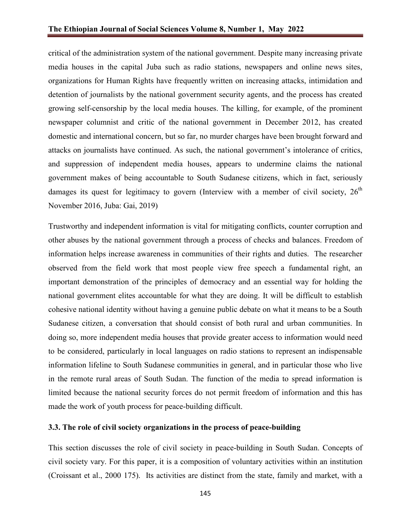critical of the administration system of the national government. Despite many increasing private media houses in the capital Juba such as radio stations, newspapers and online news sites, organizations for Human Rights have frequently written on increasing attacks, intimidation and detention of journalists by the national government security agents, and the process has created growing self-censorship by the local media houses. The killing, for example, of the prominent newspaper columnist and critic of the national government in December 2012, has created domestic and international concern, but so far, no murder charges have been brought forward and attacks on journalists have continued. As such, the national government's intolerance of critics, and suppression of independent media houses, appears to undermine claims the national government makes of being accountable to South Sudanese citizens, which in fact, seriously damages its quest for legitimacy to govern (Interview with a member of civil society,  $26<sup>th</sup>$ November 2016, Juba: Gai, 2019)

Trustworthy and independent information is vital for mitigating conflicts, counter corruption and other abuses by the national government through a process of checks and balances. Freedom of information helps increase awareness in communities of their rights and duties. The researcher observed from the field work that most people view free speech a fundamental right, an important demonstration of the principles of democracy and an essential way for holding the national government elites accountable for what they are doing. It will be difficult to establish cohesive national identity without having a genuine public debate on what it means to be a South Sudanese citizen, a conversation that should consist of both rural and urban communities. In doing so, more independent media houses that provide greater access to information would need to be considered, particularly in local languages on radio stations to represent an indispensable information lifeline to South Sudanese communities in general, and in particular those who live in the remote rural areas of South Sudan. The function of the media to spread information is limited because the national security forces do not permit freedom of information and this has made the work of youth process for peace-building difficult.

#### **3.3. The role of civil society organizations in the process of peace-building**

This section discusses the role of civil society in peace-building in South Sudan. Concepts of civil society vary. For this paper, it is a composition of voluntary activities within an institution (Croissant et al., 2000 175). Its activities are distinct from the state, family and market, with a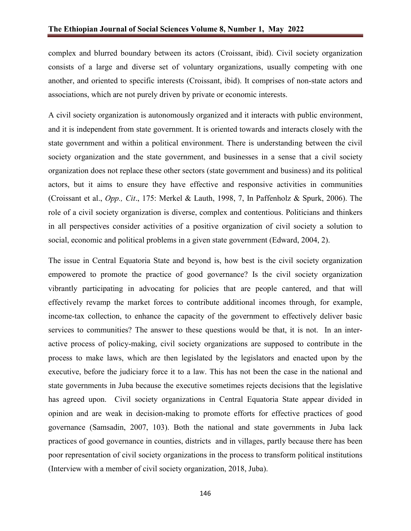complex and blurred boundary between its actors (Croissant, ibid). Civil society organization consists of a large and diverse set of voluntary organizations, usually competing with one another, and oriented to specific interests (Croissant, ibid). It comprises of non-state actors and associations, which are not purely driven by private or economic interests.

A civil society organization is autonomously organized and it interacts with public environment, and it is independent from state government. It is oriented towards and interacts closely with the state government and within a political environment. There is understanding between the civil society organization and the state government, and businesses in a sense that a civil society organization does not replace these other sectors (state government and business) and its political actors, but it aims to ensure they have effective and responsive activities in communities (Croissant et al., *Opp., Cit*., 175: Merkel & Lauth, 1998, 7, In Paffenholz & Spurk, 2006). The role of a civil society organization is diverse, complex and contentious. Politicians and thinkers in all perspectives consider activities of a positive organization of civil society a solution to social, economic and political problems in a given state government (Edward, 2004, 2).

The issue in Central Equatoria State and beyond is, how best is the civil society organization empowered to promote the practice of good governance? Is the civil society organization vibrantly participating in advocating for policies that are people cantered, and that will effectively revamp the market forces to contribute additional incomes through, for example, income-tax collection, to enhance the capacity of the government to effectively deliver basic services to communities? The answer to these questions would be that, it is not. In an interactive process of policy-making, civil society organizations are supposed to contribute in the process to make laws, which are then legislated by the legislators and enacted upon by the executive, before the judiciary force it to a law. This has not been the case in the national and state governments in Juba because the executive sometimes rejects decisions that the legislative has agreed upon. Civil society organizations in Central Equatoria State appear divided in opinion and are weak in decision-making to promote efforts for effective practices of good governance (Samsadin, 2007, 103). Both the national and state governments in Juba lack practices of good governance in counties, districts and in villages, partly because there has been poor representation of civil society organizations in the process to transform political institutions (Interview with a member of civil society organization, 2018, Juba).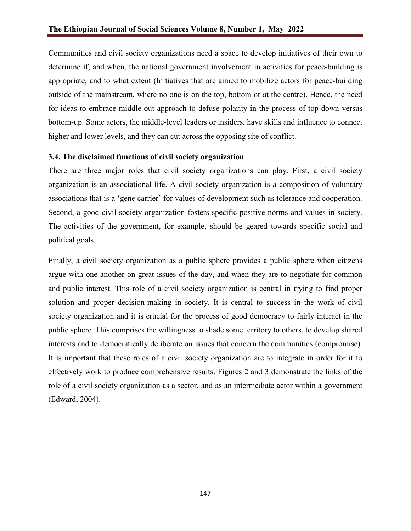Communities and civil society organizations need a space to develop initiatives of their own to determine if, and when, the national government involvement in activities for peace-building is appropriate, and to what extent (Initiatives that are aimed to mobilize actors for peace-building outside of the mainstream, where no one is on the top, bottom or at the centre). Hence, the need for ideas to embrace middle-out approach to defuse polarity in the process of top-down versus bottom-up. Some actors, the middle-level leaders or insiders, have skills and influence to connect higher and lower levels, and they can cut across the opposing site of conflict.

## **3.4. The disclaimed functions of civil society organization**

There are three major roles that civil society organizations can play. First, a civil society organization is an associational life. A civil society organization is a composition of voluntary associations that is a 'gene carrier' for values of development such as tolerance and cooperation. Second, a good civil society organization fosters specific positive norms and values in society. The activities of the government, for example, should be geared towards specific social and political goals.

Finally, a civil society organization as a public sphere provides a public sphere when citizens argue with one another on great issues of the day, and when they are to negotiate for common and public interest. This role of a civil society organization is central in trying to find proper solution and proper decision-making in society. It is central to success in the work of civil society organization and it is crucial for the process of good democracy to fairly interact in the public sphere. This comprises the willingness to shade some territory to others, to develop shared interests and to democratically deliberate on issues that concern the communities (compromise). It is important that these roles of a civil society organization are to integrate in order for it to effectively work to produce comprehensive results. Figures 2 and 3 demonstrate the links of the role of a civil society organization as a sector, and as an intermediate actor within a government (Edward, 2004).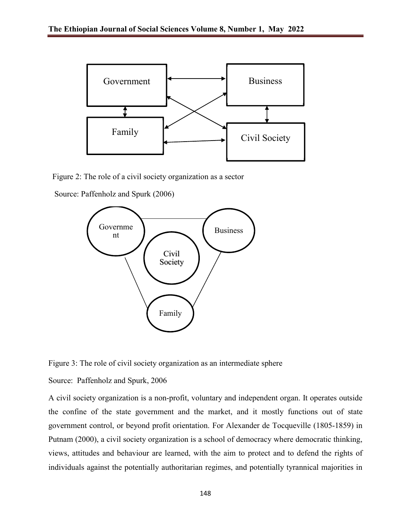

Figure 2: The role of a civil society organization as a sector

Source: Paffenholz and Spurk (2006)



Figure 3: The role of civil society organization as an intermediate sphere

# Source: Paffenholz and Spurk, 2006

A civil society organization is a non-profit, voluntary and independent organ. It operates outside the confine of the state government and the market, and it mostly functions out of state government control, or beyond profit orientation. For Alexander de Tocqueville (1805-1859) in Putnam (2000), a civil society organization is a school of democracy where democratic thinking, views, attitudes and behaviour are learned, with the aim to protect and to defend the rights of individuals against the potentially authoritarian regimes, and potentially tyrannical majorities in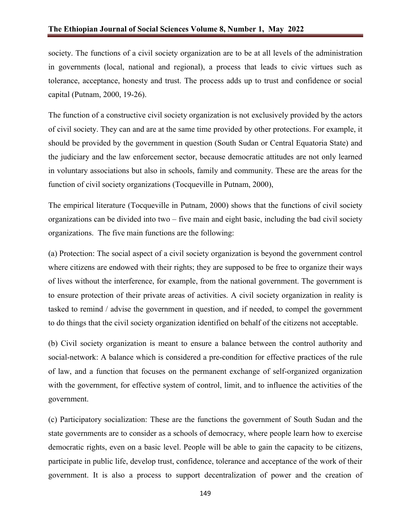society. The functions of a civil society organization are to be at all levels of the administration in governments (local, national and regional), a process that leads to civic virtues such as tolerance, acceptance, honesty and trust. The process adds up to trust and confidence or social capital (Putnam, 2000, 19-26).

The function of a constructive civil society organization is not exclusively provided by the actors of civil society. They can and are at the same time provided by other protections. For example, it should be provided by the government in question (South Sudan or Central Equatoria State) and the judiciary and the law enforcement sector, because democratic attitudes are not only learned in voluntary associations but also in schools, family and community. These are the areas for the function of civil society organizations (Tocqueville in Putnam, 2000),

The empirical literature (Tocqueville in Putnam, 2000) shows that the functions of civil society organizations can be divided into two – five main and eight basic, including the bad civil society organizations. The five main functions are the following:

(a) Protection: The social aspect of a civil society organization is beyond the government control where citizens are endowed with their rights; they are supposed to be free to organize their ways of lives without the interference, for example, from the national government. The government is to ensure protection of their private areas of activities. A civil society organization in reality is tasked to remind / advise the government in question, and if needed, to compel the government to do things that the civil society organization identified on behalf of the citizens not acceptable.

(b) Civil society organization is meant to ensure a balance between the control authority and social-network: A balance which is considered a pre-condition for effective practices of the rule of law, and a function that focuses on the permanent exchange of self-organized organization with the government, for effective system of control, limit, and to influence the activities of the government.

(c) Participatory socialization: These are the functions the government of South Sudan and the state governments are to consider as a schools of democracy, where people learn how to exercise democratic rights, even on a basic level. People will be able to gain the capacity to be citizens, participate in public life, develop trust, confidence, tolerance and acceptance of the work of their government. It is also a process to support decentralization of power and the creation of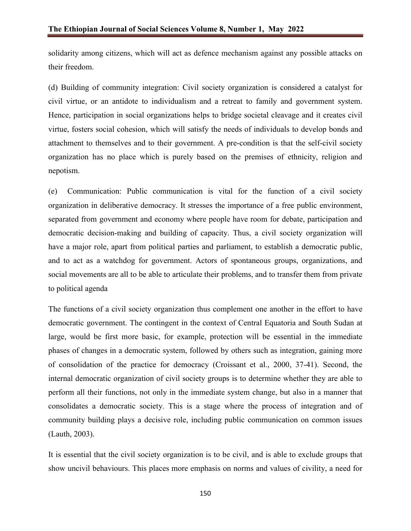solidarity among citizens, which will act as defence mechanism against any possible attacks on their freedom.

(d) Building of community integration: Civil society organization is considered a catalyst for civil virtue, or an antidote to individualism and a retreat to family and government system. Hence, participation in social organizations helps to bridge societal cleavage and it creates civil virtue, fosters social cohesion, which will satisfy the needs of individuals to develop bonds and attachment to themselves and to their government. A pre-condition is that the self-civil society organization has no place which is purely based on the premises of ethnicity, religion and nepotism.

(e) Communication: Public communication is vital for the function of a civil society organization in deliberative democracy. It stresses the importance of a free public environment, separated from government and economy where people have room for debate, participation and democratic decision-making and building of capacity. Thus, a civil society organization will have a major role, apart from political parties and parliament, to establish a democratic public, and to act as a watchdog for government. Actors of spontaneous groups, organizations, and social movements are all to be able to articulate their problems, and to transfer them from private to political agenda

The functions of a civil society organization thus complement one another in the effort to have democratic government. The contingent in the context of Central Equatoria and South Sudan at large, would be first more basic, for example, protection will be essential in the immediate phases of changes in a democratic system, followed by others such as integration, gaining more of consolidation of the practice for democracy (Croissant et al., 2000, 37-41). Second, the internal democratic organization of civil society groups is to determine whether they are able to perform all their functions, not only in the immediate system change, but also in a manner that consolidates a democratic society. This is a stage where the process of integration and of community building plays a decisive role, including public communication on common issues (Lauth, 2003).

It is essential that the civil society organization is to be civil, and is able to exclude groups that show uncivil behaviours. This places more emphasis on norms and values of civility, a need for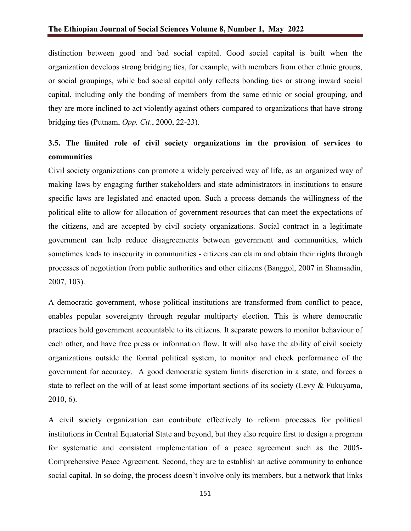distinction between good and bad social capital. Good social capital is built when the organization develops strong bridging ties, for example, with members from other ethnic groups, or social groupings, while bad social capital only reflects bonding ties or strong inward social capital, including only the bonding of members from the same ethnic or social grouping, and they are more inclined to act violently against others compared to organizations that have strong bridging ties (Putnam, *Opp. Cit*., 2000, 22-23).

# **3.5. The limited role of civil society organizations in the provision of services to communities**

Civil society organizations can promote a widely perceived way of life, as an organized way of making laws by engaging further stakeholders and state administrators in institutions to ensure specific laws are legislated and enacted upon. Such a process demands the willingness of the political elite to allow for allocation of government resources that can meet the expectations of the citizens, and are accepted by civil society organizations. Social contract in a legitimate government can help reduce disagreements between government and communities, which sometimes leads to insecurity in communities - citizens can claim and obtain their rights through processes of negotiation from public authorities and other citizens (Banggol, 2007 in Shamsadin, 2007, 103).

A democratic government, whose political institutions are transformed from conflict to peace, enables popular sovereignty through regular multiparty election. This is where democratic practices hold government accountable to its citizens. It separate powers to monitor behaviour of each other, and have free press or information flow. It will also have the ability of civil society organizations outside the formal political system, to monitor and check performance of the government for accuracy. A good democratic system limits discretion in a state, and forces a state to reflect on the will of at least some important sections of its society (Levy & Fukuyama, 2010, 6).

A civil society organization can contribute effectively to reform processes for political institutions in Central Equatorial State and beyond, but they also require first to design a program for systematic and consistent implementation of a peace agreement such as the 2005- Comprehensive Peace Agreement. Second, they are to establish an active community to enhance social capital. In so doing, the process doesn't involve only its members, but a network that links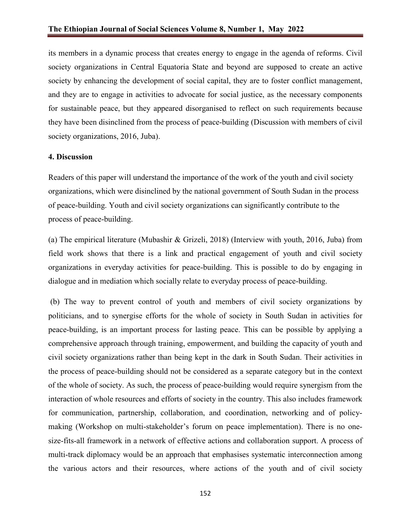its members in a dynamic process that creates energy to engage in the agenda of reforms. Civil society organizations in Central Equatoria State and beyond are supposed to create an active society by enhancing the development of social capital, they are to foster conflict management, and they are to engage in activities to advocate for social justice, as the necessary components for sustainable peace, but they appeared disorganised to reflect on such requirements because they have been disinclined from the process of peace-building (Discussion with members of civil society organizations, 2016, Juba).

## **4. Discussion**

Readers of this paper will understand the importance of the work of the youth and civil society organizations, which were disinclined by the national government of South Sudan in the process of peace-building. Youth and civil society organizations can significantly contribute to the process of peace-building.

(a) The empirical literature (Mubashir & Grizeli, 2018) (Interview with youth, 2016, Juba) from field work shows that there is a link and practical engagement of youth and civil society organizations in everyday activities for peace-building. This is possible to do by engaging in dialogue and in mediation which socially relate to everyday process of peace-building.

(b) The way to prevent control of youth and members of civil society organizations by politicians, and to synergise efforts for the whole of society in South Sudan in activities for peace-building, is an important process for lasting peace. This can be possible by applying a comprehensive approach through training, empowerment, and building the capacity of youth and civil society organizations rather than being kept in the dark in South Sudan. Their activities in the process of peace-building should not be considered as a separate category but in the context of the whole of society. As such, the process of peace-building would require synergism from the interaction of whole resources and efforts of society in the country. This also includes framework for communication, partnership, collaboration, and coordination, networking and of policymaking (Workshop on multi-stakeholder's forum on peace implementation). There is no onesize-fits-all framework in a network of effective actions and collaboration support. A process of multi-track diplomacy would be an approach that emphasises systematic interconnection among the various actors and their resources, where actions of the youth and of civil society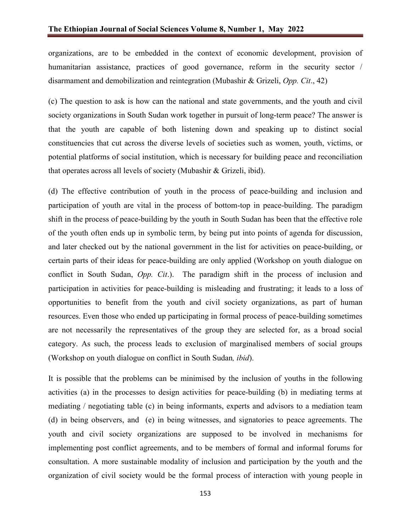organizations, are to be embedded in the context of economic development, provision of humanitarian assistance, practices of good governance, reform in the security sector / disarmament and demobilization and reintegration (Mubashir & Grizeli, *Opp. Cit*., 42)

(c) The question to ask is how can the national and state governments, and the youth and civil society organizations in South Sudan work together in pursuit of long-term peace? The answer is that the youth are capable of both listening down and speaking up to distinct social constituencies that cut across the diverse levels of societies such as women, youth, victims, or potential platforms of social institution, which is necessary for building peace and reconciliation that operates across all levels of society (Mubashir & Grizeli, ibid).

(d) The effective contribution of youth in the process of peace-building and inclusion and participation of youth are vital in the process of bottom-top in peace-building. The paradigm shift in the process of peace-building by the youth in South Sudan has been that the effective role of the youth often ends up in symbolic term, by being put into points of agenda for discussion, and later checked out by the national government in the list for activities on peace-building, or certain parts of their ideas for peace-building are only applied (Workshop on youth dialogue on conflict in South Sudan, *Opp. Cit*.). The paradigm shift in the process of inclusion and participation in activities for peace-building is misleading and frustrating; it leads to a loss of opportunities to benefit from the youth and civil society organizations, as part of human resources. Even those who ended up participating in formal process of peace-building sometimes are not necessarily the representatives of the group they are selected for, as a broad social category. As such, the process leads to exclusion of marginalised members of social groups (Workshop on youth dialogue on conflict in South Sudan*, ibid*).

It is possible that the problems can be minimised by the inclusion of youths in the following activities (a) in the processes to design activities for peace-building (b) in mediating terms at mediating / negotiating table (c) in being informants, experts and advisors to a mediation team (d) in being observers, and (e) in being witnesses, and signatories to peace agreements. The youth and civil society organizations are supposed to be involved in mechanisms for implementing post conflict agreements, and to be members of formal and informal forums for consultation. A more sustainable modality of inclusion and participation by the youth and the organization of civil society would be the formal process of interaction with young people in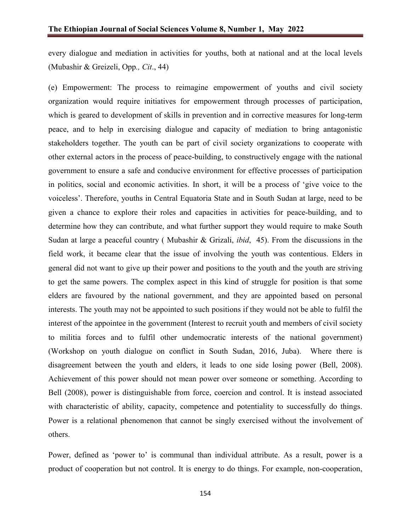every dialogue and mediation in activities for youths, both at national and at the local levels (Mubashir & Greizeli, Opp*., Cit*., 44)

(e) Empowerment: The process to reimagine empowerment of youths and civil society organization would require initiatives for empowerment through processes of participation, which is geared to development of skills in prevention and in corrective measures for long-term peace, and to help in exercising dialogue and capacity of mediation to bring antagonistic stakeholders together. The youth can be part of civil society organizations to cooperate with other external actors in the process of peace-building, to constructively engage with the national government to ensure a safe and conducive environment for effective processes of participation in politics, social and economic activities. In short, it will be a process of 'give voice to the voiceless'. Therefore, youths in Central Equatoria State and in South Sudan at large, need to be given a chance to explore their roles and capacities in activities for peace-building, and to determine how they can contribute, and what further support they would require to make South Sudan at large a peaceful country ( Mubashir & Grizali, *ibid*, 45). From the discussions in the field work, it became clear that the issue of involving the youth was contentious. Elders in general did not want to give up their power and positions to the youth and the youth are striving to get the same powers. The complex aspect in this kind of struggle for position is that some elders are favoured by the national government, and they are appointed based on personal interests. The youth may not be appointed to such positions if they would not be able to fulfil the interest of the appointee in the government (Interest to recruit youth and members of civil society to militia forces and to fulfil other undemocratic interests of the national government) (Workshop on youth dialogue on conflict in South Sudan, 2016, Juba). Where there is disagreement between the youth and elders, it leads to one side losing power (Bell, 2008). Achievement of this power should not mean power over someone or something. According to Bell (2008), power is distinguishable from force, coercion and control. It is instead associated with characteristic of ability, capacity, competence and potentiality to successfully do things. Power is a relational phenomenon that cannot be singly exercised without the involvement of others.

Power, defined as 'power to' is communal than individual attribute. As a result, power is a product of cooperation but not control. It is energy to do things. For example, non-cooperation,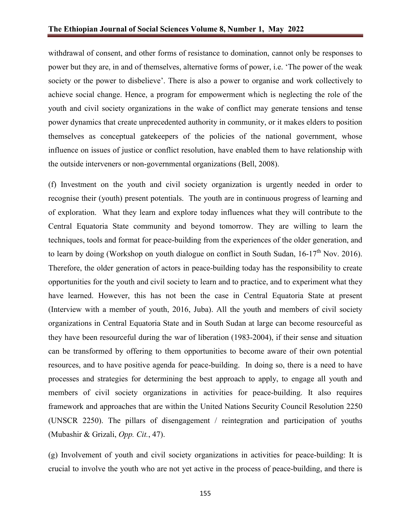withdrawal of consent, and other forms of resistance to domination, cannot only be responses to power but they are, in and of themselves, alternative forms of power, i.e. 'The power of the weak society or the power to disbelieve'. There is also a power to organise and work collectively to achieve social change. Hence, a program for empowerment which is neglecting the role of the youth and civil society organizations in the wake of conflict may generate tensions and tense power dynamics that create unprecedented authority in community, or it makes elders to position themselves as conceptual gatekeepers of the policies of the national government, whose influence on issues of justice or conflict resolution, have enabled them to have relationship with the outside interveners or non-governmental organizations (Bell, 2008).

(f) Investment on the youth and civil society organization is urgently needed in order to recognise their (youth) present potentials. The youth are in continuous progress of learning and of exploration. What they learn and explore today influences what they will contribute to the Central Equatoria State community and beyond tomorrow. They are willing to learn the techniques, tools and format for peace-building from the experiences of the older generation, and to learn by doing (Workshop on youth dialogue on conflict in South Sudan, 16-17<sup>th</sup> Nov. 2016). Therefore, the older generation of actors in peace-building today has the responsibility to create opportunities for the youth and civil society to learn and to practice, and to experiment what they have learned. However, this has not been the case in Central Equatoria State at present (Interview with a member of youth, 2016, Juba). All the youth and members of civil society organizations in Central Equatoria State and in South Sudan at large can become resourceful as they have been resourceful during the war of liberation (1983-2004), if their sense and situation can be transformed by offering to them opportunities to become aware of their own potential resources, and to have positive agenda for peace-building. In doing so, there is a need to have processes and strategies for determining the best approach to apply, to engage all youth and members of civil society organizations in activities for peace-building. It also requires framework and approaches that are within the United Nations Security Council Resolution 2250 (UNSCR 2250). The pillars of disengagement / reintegration and participation of youths (Mubashir & Grizali, *Opp. Cit.*, 47).

(g) Involvement of youth and civil society organizations in activities for peace-building: It is crucial to involve the youth who are not yet active in the process of peace-building, and there is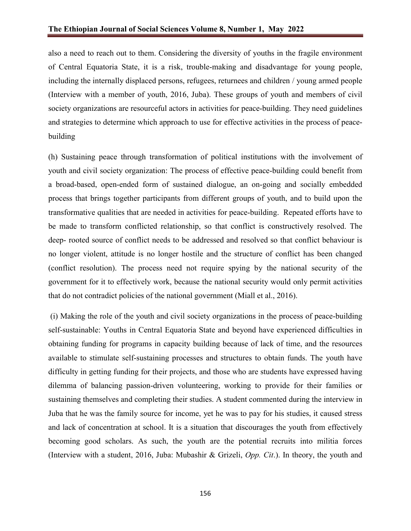also a need to reach out to them. Considering the diversity of youths in the fragile environment of Central Equatoria State, it is a risk, trouble-making and disadvantage for young people, including the internally displaced persons, refugees, returnees and children / young armed people (Interview with a member of youth, 2016, Juba). These groups of youth and members of civil society organizations are resourceful actors in activities for peace-building. They need guidelines and strategies to determine which approach to use for effective activities in the process of peacebuilding

(h) Sustaining peace through transformation of political institutions with the involvement of youth and civil society organization: The process of effective peace-building could benefit from a broad-based, open-ended form of sustained dialogue, an on-going and socially embedded process that brings together participants from different groups of youth, and to build upon the transformative qualities that are needed in activities for peace-building. Repeated efforts have to be made to transform conflicted relationship, so that conflict is constructively resolved. The deep- rooted source of conflict needs to be addressed and resolved so that conflict behaviour is no longer violent, attitude is no longer hostile and the structure of conflict has been changed (conflict resolution). The process need not require spying by the national security of the government for it to effectively work, because the national security would only permit activities that do not contradict policies of the national government (Miall et al., 2016).

(i) Making the role of the youth and civil society organizations in the process of peace-building self-sustainable: Youths in Central Equatoria State and beyond have experienced difficulties in obtaining funding for programs in capacity building because of lack of time, and the resources available to stimulate self-sustaining processes and structures to obtain funds. The youth have difficulty in getting funding for their projects, and those who are students have expressed having dilemma of balancing passion-driven volunteering, working to provide for their families or sustaining themselves and completing their studies. A student commented during the interview in Juba that he was the family source for income, yet he was to pay for his studies, it caused stress and lack of concentration at school. It is a situation that discourages the youth from effectively becoming good scholars. As such, the youth are the potential recruits into militia forces (Interview with a student, 2016, Juba: Mubashir & Grizeli, *Opp. Cit*.). In theory, the youth and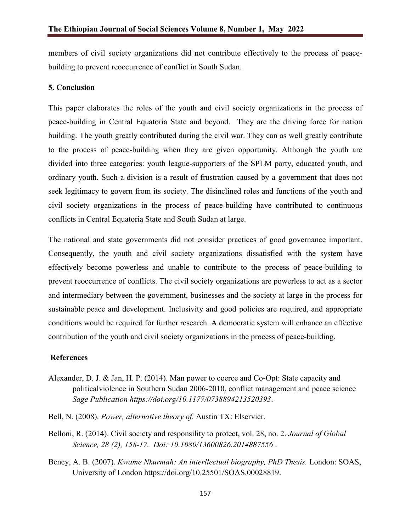members of civil society organizations did not contribute effectively to the process of peacebuilding to prevent reoccurrence of conflict in South Sudan.

## **5. Conclusion**

This paper elaborates the roles of the youth and civil society organizations in the process of peace-building in Central Equatoria State and beyond. They are the driving force for nation building. The youth greatly contributed during the civil war. They can as well greatly contribute to the process of peace-building when they are given opportunity. Although the youth are divided into three categories: youth league-supporters of the SPLM party, educated youth, and ordinary youth. Such a division is a result of frustration caused by a government that does not seek legitimacy to govern from its society. The disinclined roles and functions of the youth and civil society organizations in the process of peace-building have contributed to continuous conflicts in Central Equatoria State and South Sudan at large.

The national and state governments did not consider practices of good governance important. Consequently, the youth and civil society organizations dissatisfied with the system have effectively become powerless and unable to contribute to the process of peace-building to prevent reoccurrence of conflicts. The civil society organizations are powerless to act as a sector and intermediary between the government, businesses and the society at large in the process for sustainable peace and development. Inclusivity and good policies are required, and appropriate conditions would be required for further research. A democratic system will enhance an effective contribution of the youth and civil society organizations in the process of peace-building.

# **References**

- Alexander, D. J. & Jan, H. P. (2014). Man power to coerce and Co-Opt: State capacity and politicalviolence in Southern Sudan 2006-2010, conflict management and peace science *Sage Publication https://doi.org/10.1177/0738894213520393*.
- Bell, N. (2008). *Power, alternative theory of.* Austin TX: Elservier.
- Belloni, R. (2014). Civil society and responsility to protect, vol. 28, no. 2. *Journal of Global Science, 28 (2), 158-17. Doi: 10.1080/13600826.2014887556* .
- Beney, A. B. (2007). *Kwame Nkurmah: An interllectual biography, PhD Thesis.* London: SOAS, University of London https://doi.org/10.25501/SOAS.00028819.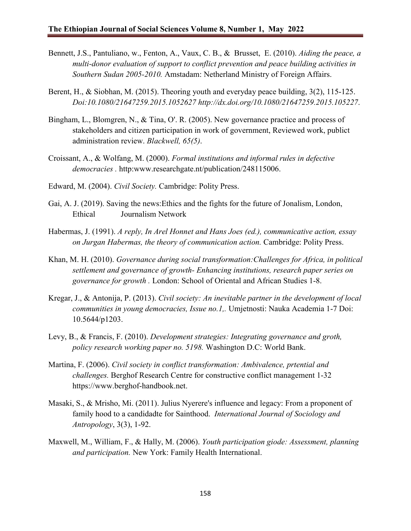- Bennett, J.S., Pantuliano, w., Fenton, A., Vaux, C. B., & Brusset, E. (2010). *Aiding the peace, a multi-donor evaluation of support to conflict prevention and peace building activities in Southern Sudan 2005-2010.* Amstadam: Netherland Ministry of Foreign Affairs.
- Berent, H., & Siobhan, M. (2015). Theoring youth and everyday peace building, 3(2), 115-125. *Doi:10.1080/21647259.2015.1052627 http://dx.doi.org/10.1080/21647259.2015.105227*.
- Bingham, L., Blomgren, N., & Tina, O'. R. (2005). New governance practice and process of stakeholders and citizen participation in work of government, Reviewed work, publict administration review. *Blackwell, 65(5)*.
- Croissant, A., & Wolfang, M. (2000). *Formal institutions and informal rules in defective democracies .* http:www.researchgate.nt/publication/248115006.
- Edward, M. (2004). *Civil Society.* Cambridge: Polity Press.
- Gai, A. J. (2019). Saving the news:Ethics and the fights for the future of Jonalism, London, Ethical Journalism Network
- Habermas, J. (1991). *A reply, In Arel Honnet and Hans Joes (ed.), communicative action, essay on Jurgan Habermas, the theory of communication action.* Cambridge: Polity Press.
- Khan, M. H. (2010). *Governance during social transformation:Challenges for Africa, in political settlement and governance of growth- Enhancing institutions, research paper series on governance for growth .* London: School of Oriental and African Studies 1-8.
- Kregar, J., & Antonija, P. (2013). *Civil society: An inevitable partner in the development of local communities in young democracies, Issue no.1,.* Umjetnosti: Nauka Academia 1-7 Doi: 10.5644/p1203.
- Levy, B., & Francis, F. (2010). *Development strategies: Integrating governance and groth, policy research working paper no. 5198.* Washington D.C: World Bank.
- Martina, F. (2006). *Civil society in conflict transformation: Ambivalence, prtential and challenges.* Berghof Research Centre for constructive conflict management 1-32 https://www.berghof-handbook.net.
- Masaki, S., & Mrisho, Mi. (2011). Julius Nyerere's influence and legacy: From a proponent of family hood to a candidadte for Sainthood. *International Journal of Sociology and Antropology*, 3(3), 1-92.
- Maxwell, M., William, F., & Hally, M. (2006). *Youth participation giode: Assessment, planning and participation.* New York: Family Health International.